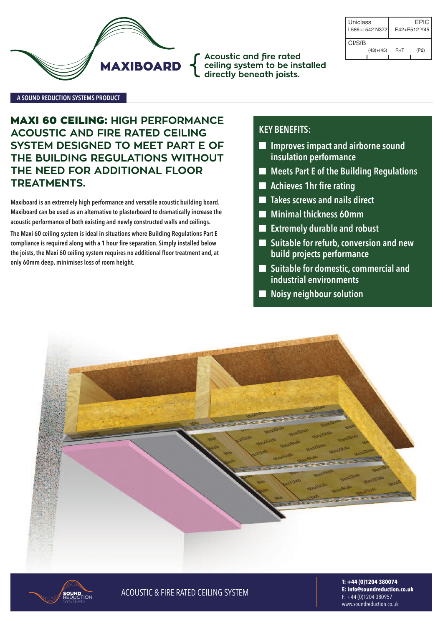

**Acoustic and fire rated ceiling system to be installed** { **directly beneath joists.**

| Uniclass<br>L586+L542:N372 |             |       | EPIC<br>$F42 + F512 \cdot Y45$ |
|----------------------------|-------------|-------|--------------------------------|
| CI/SfB                     |             |       |                                |
|                            | $(43)+(45)$ | $R+T$ | (P2)                           |

#### **A SouNd REducTIoN SYSTEMS PRoducT**

**MAXI 60 CEILING: HIGH PERFORMANCE ACOUSTIC AND FIRE RATED CEILING SYSTEM DESIGNED TO MEET PART E OF THE BUILDING REGULATIONS WITHOUT THE NEED FOR ADDITIONAL FLOOR TREATMENTS.**

**Maxiboard is an extremely high performance and versatile acoustic building board. Maxiboard can be used as an alternative to plasterboard to dramatically increase the acoustic performance of both existing and newly constructed walls and ceilings.**

**The Maxi 60 ceiling system is ideal in situations where Building Regulations Part E compliance is required along with a 1 hour fire separation. Simply installed below the joists, the Maxi 60 ceiling system requires no additional floor treatment and, at only 60mm deep, minimises loss of room height.**

## **KEY BENEFITS:**

- n **Improves impact and airborne sound insulation performance**
- n **Meets Part E of the Building Regulations**
- n **Achieves 1hr fire rating**
- n **Takes screws and nails direct**
- n **Minimal thickness 60mm**
- n **Extremely durable and robust**
- n **Suitable for refurb,conversion and new build projects performance**
- **■** Suitable for domestic, commercial and **industrial environments**
- n **Noisy neighbour solution**





**SOUND ACOUSTIC & FIRE RATED CEILING SYSTEM** 

**T: +44 (0)1204 380074 E: info@soundreduction.co.uk** F: +44 (0)1204 380957 www.soundreduction.co.uk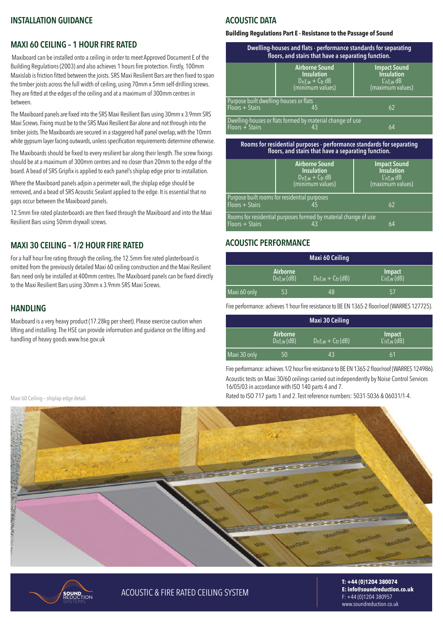## **INSTALLATIoN GuIdANcE**

## **MAXI 60 cEILING – 1 HouR FIRE RATEd**

Maxiboard can be installed onto a ceiling in order to meet Approved Document E of the Building Regulations (2003) and also achieves 1 hours fire protection. Firstly, 100mm Maxislab is friction fitted between the joists. SRS Maxi Resilient Bars are then fixed to span the timber joists across the full width of ceiling, using 70mm x 5mm self-drilling screws. They are fitted at the edges of the ceiling and at a maximum of 300mm centres in between.

The Maxiboard panels are fixed into the SRS Maxi Resilient Bars using 30mm x 3.9mm SRS Maxi Screws. Fixing must be to the SRS Maxi Resilient Bar alone and not through into the timber joists. The Maxiboards are secured in a staggered half panel overlap, with the 10mm white gypsum layer facing outwards, unless specification requirements determine otherwise.

The Maxiboards should be fixed to every resilient bar along their length. The screw fixings should be at a maximum of 300mm centres and no closer than 20mm to the edge of the board. A bead of SRS Gripfix is applied to each panel's shiplap edge prior to installation.

Where the maxiboard panels adjoin a perimeter wall, the shiplap edge should be removed, and a bead of SRS Acoustic Sealant applied to the edge. It is essential that no gaps occur between the maxiboard panels.

12.5mm fire rated plasterboards are then fixed through the maxiboard and into the maxi Resilient Bars using 50mm drywall screws.

## **MAXI 30 cEILING – 1/2 HouR FIRE RATEd**

For a half hour fire rating through the ceiling, the 12.5mm fire rated plasterboard is omitted from the previously detailed Maxi 60 ceiling construction and the Maxi Resilient Bars need only be installed at 400mm centres. The Maxiboard panels can be fixed directly to the Maxi Resilient Bars using 30mm x 3.9mm SRS Maxi Screws.

## **HANdLING**

maxiboard is a very heavy product (17.28kg persheet). Please exercise caution when lifting and installing. The HSE can provide information and guidance on the lifting and handling of heavy goods www.hse.gov.uk

#### Maxi 60 Ceiling - shiplap edge detail

# **AcouSTIc dATA**

#### **Building Regulations Part E - Resistance to the Passage of Sound**

| Dwelling-houses and flats - performance standards for separating<br>floors, and stairs that have a separating function. |                                                                                          |                                                                                       |  |
|-------------------------------------------------------------------------------------------------------------------------|------------------------------------------------------------------------------------------|---------------------------------------------------------------------------------------|--|
|                                                                                                                         | <b>Airborne Sound</b><br><b>Insulation</b><br>$D_{nT,w} + C_{tr} dB$<br>(minimum values) | <b>Impact Sound</b><br><b>Insulation</b><br>$L'_{\text{nT,w}}$ dB<br>(maximum values) |  |
| Purpose built dwelling-houses or flats<br>$Floors + Stairs$                                                             | 45                                                                                       | 62                                                                                    |  |
| Floors + Stairs                                                                                                         | Dwelling-houses or flats formed by material change of use                                | 64                                                                                    |  |

#### **Rooms for residential purposes - performance standards for separating floors, and stairs that have a separating function.**

|                   | <b>Airborne Sound</b><br><b>Insulation</b><br>$D_{nT,w} + C_{tr} dB$<br>(minimum values) | <b>Impact Sound</b><br><b>Insulation</b><br>$L'_{nT,w}$ dB<br>(maximum values) |
|-------------------|------------------------------------------------------------------------------------------|--------------------------------------------------------------------------------|
| $Floors + Stairs$ | Purpose built rooms for residential purposes                                             | 62                                                                             |
| $Floors + Stairs$ | Rooms for residential purposes formed by material change of use<br>43                    | 64                                                                             |

## **AcouSTIc PERFoRMANcE**

| Maxi 60 Ceiling |                             |                         |                                          |
|-----------------|-----------------------------|-------------------------|------------------------------------------|
|                 | Airborne<br>$D_{nT,w}$ (dB) | $D_{nT,w} + C_{tr}(dB)$ | <b>Impact</b><br>$L'_{\text{nT},w}$ (dB) |
| Maxi 60 only    | 53                          | 48                      | 57                                       |

Fire performance: achieves 1 hour fire resistance to BE EN 1365-2 floor/roof (WARRES 127725).

| Maxi 30 Ceiling |                             |                         |                                          |
|-----------------|-----------------------------|-------------------------|------------------------------------------|
|                 | Airborne<br>$D_{nT,w}$ (dB) | $D_{nT,w} + C_{tr}(dB)$ | <b>Impact</b><br>$L'_{\text{nT},w}$ (dB) |
| Maxi 30 only    | 50                          | 43                      | 61                                       |

Fire performance: achieves 1/2 hour fire resistance to BE EN 1365-2 floor/roof (WARRES 124986). Acoustic tests on Maxi 30/60 ceilings carried out independently by Noise Control Services 16/05/03 in accordance with iso 140 parts 4 and 7.

Rated to ISO 717 parts 1 and 2. Test reference numbers: 5031-5036 & 06031/1-4.





**SOUND ACOUSTIC & FIRE RATED CEILING SYSTEM** 

**T: +44 (0)1204 380074 E: info@soundreduction.co.uk** F: +44 (0)1204 380957 www.soundreduction.co.uk